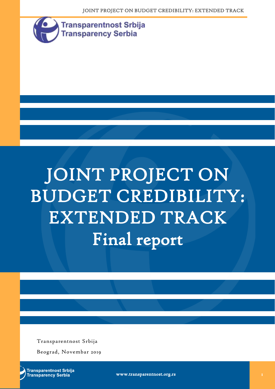JOINT PROJECT ON BUDGET CREDIBILITY: EXTENDED TRACK



# JOINT PROJECT ON BUDGET CREDIBILITY: EXTENDED TRACK Final report

Transparentnost Srbija

Beograd, Novembar 2019

**Transparentnost Srbija Transparency Serbia** 

www.transparentnost.org.rs 1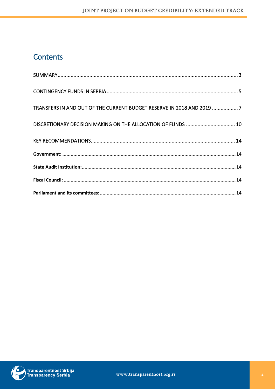## Contents

| TRANSFERS IN AND OUT OF THE CURRENT BUDGET RESERVE IN 2018 AND 2019 7 |  |
|-----------------------------------------------------------------------|--|
| DISCRETIONARY DECISION MAKING ON THE ALLOCATION OF FUNDS  10          |  |
|                                                                       |  |
|                                                                       |  |
|                                                                       |  |
|                                                                       |  |
|                                                                       |  |

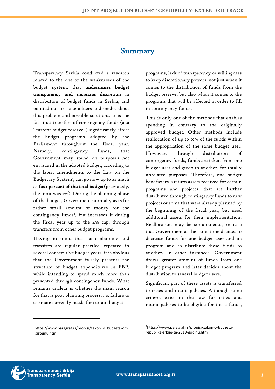#### Summary

<span id="page-2-0"></span>Transparency Serbia conducted a research related to the one of the weaknesses of the budget system, that undermines budget transparency and increases discretion in distribution of budget funds in Serbia, and pointed out to stakeholders and media about this problem and possible solutions. It is the fact that transfers of contingency funds (aka "current budget reserve") significantly affect the budget programs adopted by the Parliament throughout the fiscal year. Namely, contingency funds, that Government may spend on purposes not envisaged in the adopted budget, according to the latest amendments to the Law on the Budgetary System<sup>1</sup>, can go now up to as much as four percent of the total budget(previously, the limit was 2%). During the planning phase of the budget, Government normally asks for rather small amount of money for the contingency funds<sup>2</sup>, but increases it during the fiscal year up to the 4% cap, through transfers from other budget programs.

Having in mind that such planning and transfers are regular practice, repeated in several consecutive budget years, it is obvious that the Government falsely presents the structure of budget expenditures in EBP, while intending to spend much more than presented through contingency funds. What remains unclear is whether the main reason for that is poor planning process, i.e. failure to estimate correctly needs for certain budget

programs, lack of transparency or willingness to keep discretionary powers, not just when it comes to the distribution of funds from the budget reserve, but also when it comes to the programs that will be affected in order to fill in contingency funds.

This is only one of the methods that enables spending in contrary to the originally approved budget. Other methods include reallocation of up to 10% of the funds within the appropriation of the same budget user. However, through distribution of contingency funds, funds are taken from one budget user and given to another, for totally unrelated purposes. Therefore, one budget beneficiary's return assets received for certain programs and projects, that are further distributed through contingency funds to new projects or some that were already planned by the beginning of the fiscal year, but need additional assets for their implementation. Reallocation may be simultaneous, in case that Government at the same time decides to decrease funds for one budget user and its program and to distribute these funds to another. In other instances, Government draws greater amount of funds from one budget program and later decides about the distribution to several budget users.

Significant part of these assets is transferred to cities and municipalities. Although some criteria exist in the law for cities and municipalities to be eligible for these funds,



<sup>1</sup>https://www.paragraf.rs/propisi/zakon\_o\_budzetskom \_sistemu.html

<sup>2</sup>https://www.paragraf.rs/propisi/zakon-o-budzeturepublike-srbije-za-2019-godinu.html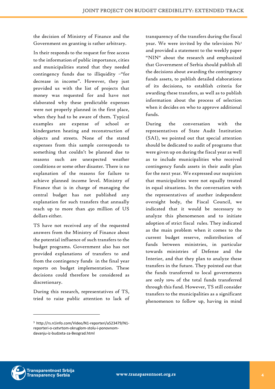the decision of Ministry of Finance and the Government on granting is rather arbitrary.

In their responds to the request for free access to the information of public importance, cities and municipalities stated that they needed contingency funds due to illiquidity –"for decrease in income". However, they just provided us with the list of projects that money was requested for and have not elaborated why these predictable expenses were not properly planned in the first place, when they had to be aware of them. Typical examples are expense of school or kindergarten heating and reconstruction of objects and streets. None of the stated expenses from this sample corresponds to something that couldn't be planned due to reasons such are unexpected weather conditions or some other disaster. There is no explanation of the reasons for failure to achieve planned income level. Ministry of Finance that is in charge of managing the central budget has not published any explanation for such transfers that annually reach up to more than 450 million of US dollars either.

TS have not received any of the requested answers from the Ministry of Finance about the potential influence of such transfers to the budget programs. Government also has not provided explanations of transfers to and from the contingency funds in the final year reports on budget implementation. These decisions could therefore be considered as discretionary.

During this research, representatives of TS, tried to raise public attention to lack of

<sup>3</sup> http://rs.n1info.com/Video/N1-reporteri/a523479/N1 reporteri-o-cetvrtom-okruglom-stolu-i-ponovnomdavanju-iz-budzeta-za-Beograd.html

transparency of the transfers during the fiscal year. We were invited by the television  $NI<sup>3</sup>$ and provided a statement to the weekly paper "NIN" about the research and emphasized that Government of Serbia should publish all the decisions about awarding the contingency funds assets, to publish detailed elaborations of its decisions, to establish criteria for awarding these transfers, as well as to publish information about the process of selection when it decides on who to approve additional funds.

During the conversation with the representatives of State Audit Institution (SAI), we pointed out that special attention should be dedicated to audit of programs that were given up on during the fiscal year as well as to include municipalities who received contingency funds assets in their audit plan for the next year. We expressed our suspicion that municipalities were not equally treated in equal situations. In the conversation with the representatives of another independent oversight body, the Fiscal Council, we indicated that it would be necessary to analyze this phenomenon and to initiate adoption of strict fiscal rules. They indicated as the main problem when it comes to the current budget reserve, redistribution of funds between ministries, in particular towards ministries of Defense and the Interior, and that they plan to analyze these transfers in the future. They pointed out that the funds transferred to local governments are only 10% of the total funds transferred through this fund. However, TS still consider transfers to the municipalities as a significant phenomenon to follow up, having in mind

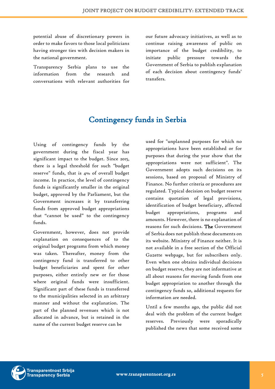potential abuse of discretionary powers in order to make favors to those local politicians having stronger ties with decision makers in the national government.

Transparency Serbia plans to use the information from the research and conversations with relevant authorities for our future advocacy initiatives, as well as to continue raising awareness of public on importance of the budget credibility, to initiate public pressure towards the Government of Serbia to publish explanation of each decision about contingency funds' transfers.

## Contingency funds in Serbia

<span id="page-4-0"></span>Using of contingency funds by the government during the fiscal year has significant impact to the budget. Since 2015, there is a legal threshold for such "budget reserve" funds, that is 4% of overall budget income. In practice, the level of contingency funds is significantly smaller in the original budget, approved by the Parliament, but the Government increases it by transferring funds from approved budget appropriations that "cannot be used" to the contingency funds.

Government, however, does not provide explanation on consequences of to the original budget programs from which money was taken. Thereafter, money from the contingency fund is transferred to other budget beneficiaries and spent for other purposes, either entirely new or for those where original funds were insufficient. Significant part of these funds is transferred to the municipalities selected in an arbitrary manner and without the explanation. The part of the planned revenues which is not allocated in advance, but is retained in the name of the current budget reserve can be

used for "unplanned purposes for which no appropriations have been established or for purposes that during the year show that the appropriations were not sufficient". The Government adopts such decisions on its sessions, based on proposal of Ministry of Finance. No further criteria or procedures are regulated. Typical decision on budget reserve contains quotation of legal provisions, identification of budget beneficiary, affected budget appropriations, programs and amounts. However, there is no explanation of reasons for such decisions. The Government of Serbia does not publish these documents on its website. Ministry of Finance neither. It is not available in a free section of the Official Gazette webpage, but for subscribers only. Even when one obtains individual decisions on budget reserve, they are not informative at all about reasons for moving funds from one budget appropriation to another through the contingency funds so, additional requests for information are needed.

Until a few months ago, the public did not deal with the problem of the current budget reserves. Previously were sporadically published the news that some received some

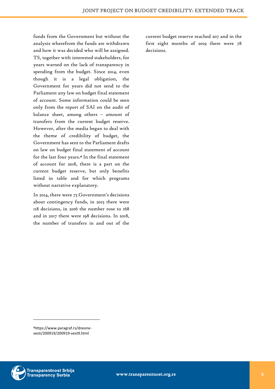funds from the Government but without the analysis wherefrom the funds are withdrawn and how it was decided who will be assigned. TS, together with interested stakeholders, for years warned on the lack of transparency in spending from the budget. Since 2014, even though it is a legal obligation, the Government for years did not send to the Parliament any law on budget final statement of account. Some information could be seen only from the report of SAI on the audit of balance sheet, among others – amount of transfers from the current budget reserve. However, after the media began to deal with the theme of credibility of budget, the Government has sent to the Parliament drafts on law on budget final statement of account for the last four years. 4 In the final statement of account for 2018, there is a part on the current budget reserve, but only benefits listed in table and for which programs without narrative explanatory.

In 2014, there were 75 Government's decisions about contingency funds, in 2015 there were 118 decisions, in 2016 the number rose to 168 and in 2017 there were 198 decisions. In 2018, the number of transfers in and out of the

current budget reserve reached 207 and in the first eight months of 2019 there were 78 decisions.

4https://www.paragraf.rs/dnevnevesti/200919/200919-vest9.html

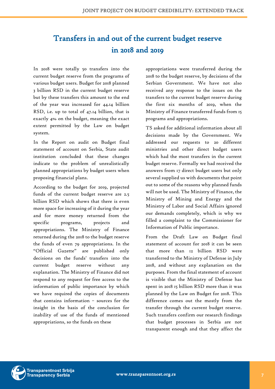## <span id="page-6-0"></span>Transfers in and out of the current budget reserve in 2018 and 2019

In 2018 were totally 50 transfers into the current budget reserve from the programs of various budget users. Budget for 2018 planned 3 billion RSD in the current budget reserve but by these transfers this amount to the end of the year was increased for 44.14 billion RSD, i.e. up to total of 47.14 billion, that is exactly 4% on the budget, meaning the exact extent permitted by the Law on budget system.

In the Report on audit on Budget final statement of account on Serbia, State audit institution concluded that these changes indicate to the problem of unrealistically planned appropriations by budget users when proposing financial plans.

According to the budget for 2019, projected funds of the current budget reserve are 2.5 billion RSD which shows that there is even more space for increasing of it during the year and for more money returned from the specific programs, projects and appropriations. The Ministry of Finance returned during the 2018 to the budget reserve the funds of even 79 appropriations. In the "Official Gazette" are published only decisions on the funds' transfers into the current budget reserve without any explanation. The Ministry of Finance did not respond to any request for free access to the information of public importance by which we have required the copies of documents that contains information – sources for the insight in the basis of the conclusion for inability of use of the funds of mentioned appropriations, so the funds on these

appropriations were transferred during the 2018 to the budget reserve, by decisions of the Serbian Government. We have not also received any response to the issues on the transfers to the current budget reserve during the first six months of 2019, when the Ministry of Finance transferred funds from 15 programs and appropriations.

TS asked for additional information about all decisions made by the Government. We addressed our requests to 20 different ministries and other direct budget users which had the most transfers in the current budget reserve. Formally we had received the answers from 17 direct budget users but only several supplied us with documents that point out to some of the reasons why planned funds will not be used. The Ministry of Finance, the Ministry of Mining and Energy and the Ministry of Labor and Social Affairs ignored our demands completely, which is why we filled a complaint to the Commissioner for Information of Public importance.

From the Draft Law on Budget final statement of account for 2018 it can be seen that more than 12 billion RSD were transferred to the Ministry of Defense in July 2018, and without any explanation on the purposes. From the final statement of account is visible that the Ministry of Defense has spent in 2018 15 billion RSD more than it was planned by the Law on Budget for 2018. This difference comes out the mostly from the transfer through the current budget reserve. Such transfers confirm our research findings that budget processes in Serbia are not transparent enough and that they affect the



**Transparentnost Srbija** Transparency Serbia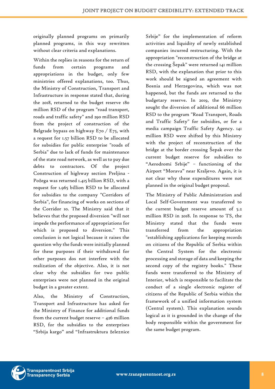originally planned programs on primarily planned programs, in this way rewritten without clear criteria and explanations.

Within the replies in reasons for the return of funds from certain programs and appropriations in the budget, only few ministries offered explanations, too. Thus, the Ministry of Construction, Transport and Infrastructure in response stated that, during the 2018, returned to the budget reserve 180 million RSD of the program "road transport, roads and traffic safety" and 290 million RSD from the project of construction of the Belgrade bypass on highway E70 / E75, with a request for 1.57 billion RSD to be allocated for subsidies for public enterprise "roads of Serbia" due to lack of funds for maintenance of the state road network, as well as to pay due debts to contractors. Of the project Construction of highway section Preljina - Požega was returned 1.415 billion RSD, with a request for 1.965 billion RSD to be allocated for subsidies to the company "Corridors of Serbia", for financing of works on sections of the Corridor 10. The Ministry said that it believes that the proposed diversion "will not impede the performance of appropriations for which is proposed to diversion." This conclusion is not logical because it raises the question why the funds were initially planned for these purposes if their withdrawal for other purposes dos not interfere with the realization of the objective. Also, it is not clear why the subsidies for two public enterprises were not planned in the original budget in a greater extent.

Also, the Ministry of Construction, Transport and Infrastructure has asked for the Ministry of Finance for additional funds from the current budget reserve  $-$  426 million RSD, for the subsidies to the enterprises "Srbija kargo" and "Infrastruktura železnice Srbije" for the implementation of reform activities and liquidity of newly established companies incurred restructuring. With the appropriation "reconstruction of the bridge at the crossing Šepak" were returned 141 million RSD, with the explanation that prior to this work should be signed an agreement with Bosnia and Herzegovina, which was not happened, but the funds are returned to the budgetary reserve. In 2019, the Ministry sought the diversion of additional 66 million RSD to the program "Road Transport, Roads and Traffic Safety" for subsidies, or for a media campaign Traffic Safety Agency. 141 million RSD were shifted by this Ministry with the project of reconstruction of the bridge at the border crossing Šepak over the current budget reserve for subsidies to "Aerodromi Srbije" – functioning of the Airport "Morava" near Kraljevo. Again, it is not clear why these expenditures were not planned in the original budget proposal.

The Ministry of Public Administration and Local Self-Government was transferred to the current budget reserve amount of 5.2 million RSD in 2018. In response to TS, the Ministry stated that the funds were transferred from the appropriation "establishing applications for keeping records on citizens of the Republic of Serbia within the Central System for the electronic processing and storage of data and keeping the second copy of the registry books." These funds were transferred to the Ministry of Interior, which is responsible to facilitate the conduct of a single electronic register of citizens of the Republic of Serbia within the framework of a unified information system (Central system). This explanation sounds logical as it is grounded in the change of the body responsible within the government for the same budget program.



**Transparentnost Srbija** Transparency Serbia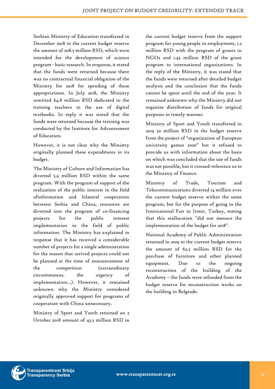Serbian Ministry of Education transferred in December 2018 to the current budget reserve the amount of 208.5 million RSD, which were intended for the development of science program - basic research. In response, it stated that the funds were returned because there was no contractual financial obligation of the Ministry for 2018 for spending of these appropriations. In July 2018, the Ministry remitted 64.8 million RSD dedicated to the training teachers in the use of digital textbooks. In reply it was stated that the funds were returned because the training was conducted by the Institute for Advancement of Education.

However, it is not clear why the Ministry originally planned these expenditures in its budget.

The Ministry of Culture and Information has diverted 5.9 million RSD within the same program. With the program of support of the realization of the public interest in the field ofinformation and bilateral cooperation between Serbia and China, resources are diverted into the program of co-financing projects for the public interest implementation in the field of public information. The Ministry has explained in response that it has received a considerable number of projects for a single administration for the reason that arrived projects could not be planned at the time of announcement of the competition (extraordinary circumstances, the urgency of implementation...). However, it remained unknown why the Ministry considered originally approved support for programs of cooperation with China unnecessary.

Ministry of Sport and Youth returned on 2 October 2018 amount of 43.3 million RSD in the current budget reserve from the support program for young people in employment, 1.2 million RSD with the program of grants to NGOs and 1.45 million RSD of the grant program to international organizations. In the reply of the Ministry, it was stated that the funds were returned after detailed budget analysis and the conclusion that the funds cannot be spent until the end of the year. It remained unknown why the Ministry did not organize distribution of funds for original purposes in timely manner.

Ministry of Sport and Youth transferred in 2019 50 million RSD in the budget reserve from the project of "organization of European university games 2020" but it refused to provide us with information about the basis on which was concluded that the use of funds was not possible, but it crossed-reference us to the Ministry of Finance.

Ministry of Trade, Tourism and Telecommunications diverted 14 million over the current budget reserve within the same program, but for the purpose of going to the International Fair in Izmir, Turkey, stating that this reallocation "did not menace the implementation of the budget for 2018".

National Academy of Public Administration returned in 2019 to the current budget reserve the amount of 62.5 million RSD for the purchase of furniture and other planned equipment. Due to the ongoing reconstruction of the building of the Academy – the funds were refunded from the budget reserve for reconstruction works on the building in Belgrade.

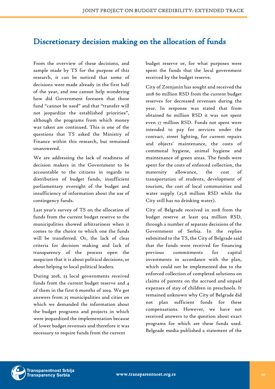## <span id="page-9-0"></span>Discretionary decision making on the allocation of funds

From the overview of these decisions, and sample made by TS for the purpose of this research, it can be noticed that some of decisions were made already in the first half of the year, and one cannot help wondering how did Government foreseen that those fund "cannot be used" and that "transfer will not jeopardize the established priorities", although the programs from which money was taken are continued. This is one of the questions that TS asked the Ministry of Finance within this research, but remained unanswered.

We are addressing the lack of readiness of decision makers in the Government to be accountable to the citizens in regards to distribution of budget funds, insufficient parliamentary oversight of the budget and insufficiency of information about the use of contingency funds.

Last year's survey of TS on the allocation of funds from the current budget reserve to the municipalities showed arbitrariness when it comes to the choice to which one the funds will be transferred. Or, the lack of clear criteria for decision making and lack of transparency of the process open the suspicion that it is about political decisions, or about helping to local political leaders.

During 2018, 23 local governments received funds from the current budget reserve and 4 of them in the first 6 months of 2019. We got answers from 25 municipalities and cities on which we demanded the information about the budget programs and projects in which were jeopardized the implementation because of lower budget revenues and therefore it was necessary to require funds from the current

budget reserve or, for what purposes were spent the funds that the local government received by the budget reserve.

City of Zrenjanin has sought and received the 2018 60 million RSD from the current budget reserves for decreased revenues during the year. In response was stated that from obtained 60 million RSD it was not spent even 17 million RSD. Funds not spent were intended to pay for services under the contract, street lighting, for current repairs and objects' maintenance, the costs of communal hygiene, animal hygiene and maintenance of green areas. The funds were spent for the costs of enforced collection, the maternity allowance, the cost of transportation of students, development of tourism, the cost of local communities and water supply (25.8 million RSD while the City still has no drinking water).

City of Belgrade received in 2018 from the budget reserve at least 924 million RSD, through a number of separate decisions of the Government of Serbia. In the replies submitted to the TS, the City of Belgrade said that the funds were received for financing previous commitments for capital investments in accordance with the plan, which could not be implemented due to the enforced collection of completed solutions on claims of parents on the accrued and unpaid expenses of stay of children in preschools. It remained unknown why City of Belgrade did not plan sufficient funds for these compensations. However, we have not received answers to the question about exact programs for which are these funds used. Belgrade media published a statement of the

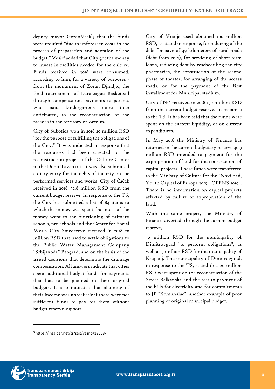deputy mayor GoranVesić5 that the funds were required "due to unforeseen costs in the process of preparation and adoption of the budget." Vesic <sup>5</sup> added that City got the money to invest in facilities needed for the culture. Funds received in 2018 were consumed, according to him, for a variety of purposes from the monument of Zoran Djindjic, the final tournament of Euroleague Basketball through compensation payments to parents who paid kindergartens more than anticipated, to the reconstruction of the facades in the territory of Zemun.

City of Subotica won in 2018 20 million RSD "for the purpose of fulfilling the obligations of the City." It was indicated in response that the resources had been directed to the reconstruction project of the Culture Center in the Donji Tavankut. It was also submitted a diary entry for the debts of the city on the performed services and works. City of Čačak received in 2018. 32.8 million RSD from the current budget reserve. In response to the TS, the City has submitted a list of 84 items to which the money was spent, but most of the money went to the functioning of primary schools, pre-schools and the Center for Social Work. City Smederevo received in 2018 20 million RSD that used to settle obligations to the Public Water Management Company "Srbijavode" Beograd, and on the basis of the issued decisions that determine the drainage compensation. All answers indicate that cities spent additional budget funds for payments that had to be planned in their original budgets. It also indicates that planning of their income was unrealistic if there were not sufficient funds to pay for them without budget reserve support.

City of Vranje used obtained 100 million RSD, as stated in response, for reducing of the debt for pave of 49 kilometers of rural roads (debt from 2015), for servicing of short-term loans, reducing debt by rescheduling the city pharmacies, the construction of the second phase of theater, for arranging of the access roads, or for the payment of the first installment for Municipal stadium.

City of Niš received in 2018 150 million RSD from the current budget reserve. In response to the TS. It has been said that the funds were spent on the current liquidity, or on current expenditures.

In May 2018 the Ministry of Finance has returned in the current budgetary reserve 40.3 million RSD intended to payment for the expropriation of land for the construction of capital projects. These funds were transferred to the Ministry of Culture for the "Novi Sad, Youth Capital of Europe 2019 - OPENS 2019". There is no information on capital projects affected by failure of expropriation of the land.

With the same project, the Ministry of Finance diverted, through the current budget reserve,

30 million RSD for the municipality of Dimitrovgrad "to perform obligations", as well as 3 million RSD for the municipality of Krupanj. The municipality of Dimitrovgrad, in response to the TS, stated that 20 million RSD were spent on the reconstruction of the Street Balkanska and the rest to payment of the bills for electricity and for commitments to JP "Komunalac", another example of poor planning of original municipal budget.



<sup>5</sup> https://insajder.net/sr/sajt/vazno/13503/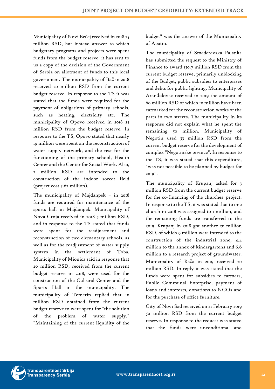Municipality of Novi Bečej received in 2018 23 million RSD, but instead answer to which budgetary programs and projects were spent funds from the budget reserve, it has sent to us a copy of the decision of the Government of Serbia on allotment of funds to this local government. The municipality of Bač in 2018 received 20 million RSD from the current budget reserve. In response to the TS it was stated that the funds were required for the payment of obligations of primary schools, such as heating, electricity etc. The municipality of Opovo received in 2018 25 million RSD from the budget reserve. In response to the TS, Opovo stated that nearly 19 million were spent on the reconstruction of water supply network, and the rest for the functioning of the primary school, Health Center and the Center for Social Work. Also, 2 million RSD are intended to the construction of the indoor soccer field (project cost 5.62 million).

The municipality of Majdanpek – in 2018 funds are required for maintenance of the sports hall in Majdanpek. Municipality of Nova Crnja received in 2018 5 million RSD, and in response to the TS stated that funds were spent for the readjustment and reconstruction of two elementary schools, as well as for the readjustment of water supply system in the settlement of Toba. Municipality of Mionica said in response that 20 million RSD, received from the current budget reserve in 2018, were used for the construction of the Cultural Center and the Sports Hall in the municipality. The municipality of Temerin replied that 10 million RSD obtained from the current budget reserve to were spent for "the solution of the problem of water supply." "Maintaining of the current liquidity of the

budget" was the answer of the Municipality of Apatin.

The municipality of Smederevska Palanka has submitted the request to the Ministry of Finance to award 130.7 million RSD from the current budget reserve, primarily unblocking of the Budget, public subsidies to enterprises and debts for public lighting. Municipality of Aranđelovac received in 2019 the amount of 60 million RSD of which 10 million have been earmarked for the reconstruction works of the parts in two streets. The municipality in its response did not explain what he spent the remaining 50 million. Municipality of Negotin used 33 million RSD from the current budget reserve for the development of complex "Negotinske pivnice". In response to the TS, it was stated that this expenditure, "was not possible to be planned by budget for 2019".

The municipality of Krupanj asked for 3 million RSD from the current budget reserve for the co-financing of the churches' project. In response to the TS, it was stated that to one church in 2018 was assigned to 1 million, and the remaining funds are transferred to the 2019. Krupanj in 2018 got another 20 million RSD, of which 9 million were intended to the construction of the industrial zone, 4.4 million to the annex of kindergartens and 6.6 million to a research project of groundwater. Municipality of Rača in 2019 received 20 million RSD. In reply it was stated that the funds were spent for subsidies to farmers, Public Communal Enterprise, payment of loans and interests, donations to NGOs and for the purchase of office furniture.

City of Novi Sad received on 21 February 2019 50 million RSD from the current budget reserve. In response to the request was stated that the funds were unconditional and

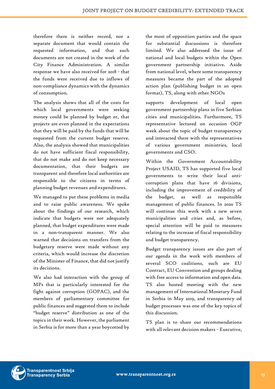therefore there is neither record, nor a separate document that would contain the requested information, and that such documents are not created in the work of the City Finance Administration. A similar response we have also received for 2018 - that the funds were received due to inflows of non-compliance dynamics with the dynamics of consumption.

The analysis shows that all of the costs for which local governments were seeking money could be planned by budget or, that projects are even planned in the expectations that they will be paid by the funds that will be requested from the current budget reserve. Also, the analysis showed that municipalities do not have sufficient fiscal responsibility, that do not make and do not keep necessary documentation, that their budgets are transparent and therefore local authorities are responsible to the citizens in terms of planning budget revenues and expenditures.

We managed to put these problems in media and to raise public awareness. We spoke about the findings of our research, which indicate that budgets were not adequately planned, that budget expenditures were made in a non-transparent manner. We also warned that decisions on transfers from the budgetary reserve were made without any criteria, which would increase the discretion of the Minister of Finance, that did not justify its decisions.

We also had interaction with the group of MPs that is particularly interested for the fight against corruption (GOPAC), and the members of parliamentary committee for public finances and suggested them to include "budget reserve" distribution as one of the topics in their work. However, the parliament in Serbia is for more than a year boycotted by the most of opposition parties and the space for substantial discussions is therefore limited. We also addressed the issue of national and local budgets within the Open government partnership initiative. Aside from national level, where some transparency measures became the part of the adopted action plan (publishing budget in an open format), TS, along with other NGOs

supports development of local open government partnership plans in five Serbian cities and municipalities. Furthermore, TS representative lectured on occasion OGP week about the topic of budget transparency and interacted there with the representatives of various government ministries, local governments and CSO.

Within the Government Accountability Project USAID, TS has supported five local governments to write their local anticorruption plans that have 16 divisions, including the improvement of credibility of the budget, as well as responsible management of public finances. In 2020 TS will continue this work with a new seven municipalities and cities and, as before, special attention will be paid to measures relating to the increase of fiscal responsibility and budget transparency.

Budget transparency issues are also part of our agenda in the work with members of several SCO coalitions, such are EU Contract, EU Convention and groups dealing with free access to information and open data. TS also hosted meeting with the new management of International Monetary Fund in Serbia in May 2019, and transparency od budget processes was one of the key topics of this discussion.

TS plan is to share our recommendations with all relevant decision makers - Executive,

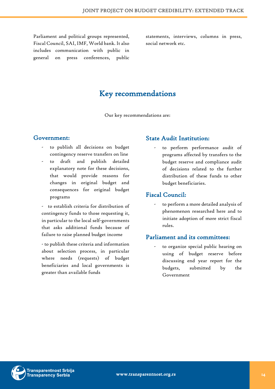Parliament and political groups represented, Fiscal Council, SAI, IMF, World bank. It also includes communication with public in general on press conferences, public

statements, interviews, columns in press, social network etc.

### Key recommendations

Our key recommendations are:

#### <span id="page-13-1"></span><span id="page-13-0"></span>Government:

- to publish all decisions on budget contingency reserve transfers on line
- to draft and publish detailed explanatory note for these decisions, that would provide reasons for changes in original budget and consequences for original budget programs

- to establish criteria for distribution of contingency funds to those requesting it, in particular to the local self-governments that asks additional funds because of failure to raise planned budget income

- to publish these criteria and information about selection process, in particular where needs (requests) of budget beneficiaries and local governments is greater than available funds

#### <span id="page-13-2"></span>State Audit Institution:

- to perform performance audit of programs affected by transfers to the budget reserve and compliance audit of decisions related to the further distribution of these funds to other budget beneficiaries.

#### <span id="page-13-3"></span>Fiscal Council:

- to perform a more detailed analysis of phenomenon researched here and to initiate adoption of more strict fiscal rules.

#### <span id="page-13-4"></span>Parliament and its committees:

to organize special public hearing on using of budget reserve before discussing end year report for the budgets, submitted by the Government